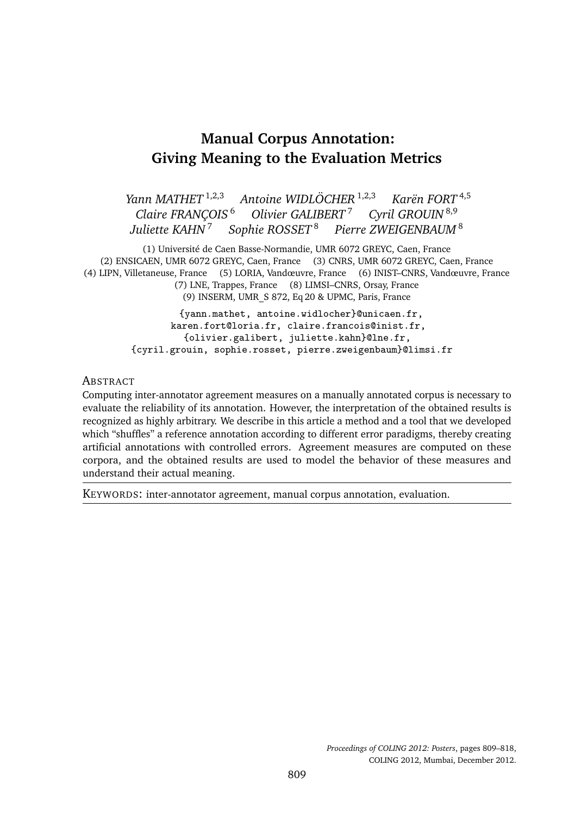# **Manual Corpus Annotation: Giving Meaning to the Evaluation Metrics**

*Yann MATHET* 1,2,3 *Antoine WIDLÖCHER* 1,2,3 *Karën FORT* 4,5 *Claire FRANÇOIS*<sup>6</sup> *Olivier GALIBERT<sup>7</sup> <i>Cyril GROUIN*<sup>8,9</sup><br>*Juliette KAHN<sup>7</sup> Sophie ROSSET*<sup>8</sup> *Pierre ZWEIGENBAUM*<sup>5</sup>  $Sophie ROSSET<sup>8</sup>$  *Pierre ZWEIGENBAUM*<sup>8</sup>

(1) Université de Caen Basse-Normandie, UMR 6072 GREYC, Caen, France (2) ENSICAEN, UMR 6072 GREYC, Caen, France (3) CNRS, UMR 6072 GREYC, Caen, France (4) LIPN, Villetaneuse, France (5) LORIA, Vandœuvre, France (6) INIST–CNRS, Vandœuvre, France (7) LNE, Trappes, France (8) LIMSI–CNRS, Orsay, France (9) INSERM, UMR\_S 872, Eq 20 & UPMC, Paris, France

> {yann.mathet, antoine.widlocher}@unicaen.fr, karen.fort@loria.fr, claire.francois@inist.fr, {olivier.galibert, juliette.kahn}@lne.fr, {cyril.grouin, sophie.rosset, pierre.zweigenbaum}@limsi.fr

#### **ABSTRACT**

Computing inter-annotator agreement measures on a manually annotated corpus is necessary to evaluate the reliability of its annotation. However, the interpretation of the obtained results is recognized as highly arbitrary. We describe in this article a method and a tool that we developed which "shuffles" a reference annotation according to different error paradigms, thereby creating artificial annotations with controlled errors. Agreement measures are computed on these corpora, and the obtained results are used to model the behavior of these measures and understand their actual meaning.

KEYWORDS: inter-annotator agreement, manual corpus annotation, evaluation.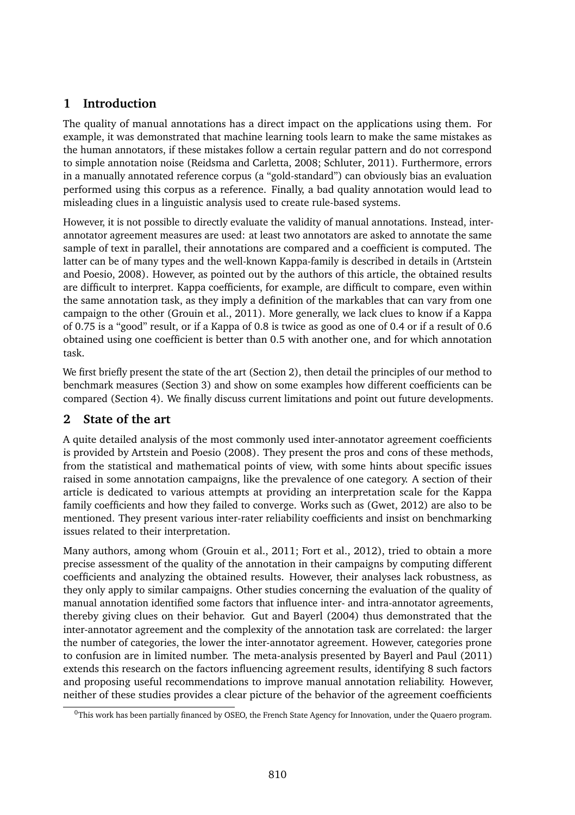# **1 Introduction**

The quality of manual annotations has a direct impact on the applications using them. For example, it was demonstrated that machine learning tools learn to make the same mistakes as the human annotators, if these mistakes follow a certain regular pattern and do not correspond to simple annotation noise (Reidsma and Carletta, 2008; Schluter, 2011). Furthermore, errors in a manually annotated reference corpus (a "gold-standard") can obviously bias an evaluation performed using this corpus as a reference. Finally, a bad quality annotation would lead to misleading clues in a linguistic analysis used to create rule-based systems.

However, it is not possible to directly evaluate the validity of manual annotations. Instead, interannotator agreement measures are used: at least two annotators are asked to annotate the same sample of text in parallel, their annotations are compared and a coefficient is computed. The latter can be of many types and the well-known Kappa-family is described in details in (Artstein and Poesio, 2008). However, as pointed out by the authors of this article, the obtained results are difficult to interpret. Kappa coefficients, for example, are difficult to compare, even within the same annotation task, as they imply a definition of the markables that can vary from one campaign to the other (Grouin et al., 2011). More generally, we lack clues to know if a Kappa of 0.75 is a "good" result, or if a Kappa of 0.8 is twice as good as one of 0.4 or if a result of 0.6 obtained using one coefficient is better than 0.5 with another one, and for which annotation task.

We first briefly present the state of the art (Section 2), then detail the principles of our method to benchmark measures (Section 3) and show on some examples how different coefficients can be compared (Section 4). We finally discuss current limitations and point out future developments.

# **2 State of the art**

A quite detailed analysis of the most commonly used inter-annotator agreement coefficients is provided by Artstein and Poesio (2008). They present the pros and cons of these methods, from the statistical and mathematical points of view, with some hints about specific issues raised in some annotation campaigns, like the prevalence of one category. A section of their article is dedicated to various attempts at providing an interpretation scale for the Kappa family coefficients and how they failed to converge. Works such as (Gwet, 2012) are also to be mentioned. They present various inter-rater reliability coefficients and insist on benchmarking issues related to their interpretation.

Many authors, among whom (Grouin et al., 2011; Fort et al., 2012), tried to obtain a more precise assessment of the quality of the annotation in their campaigns by computing different coefficients and analyzing the obtained results. However, their analyses lack robustness, as they only apply to similar campaigns. Other studies concerning the evaluation of the quality of manual annotation identified some factors that influence inter- and intra-annotator agreements, thereby giving clues on their behavior. Gut and Bayerl (2004) thus demonstrated that the inter-annotator agreement and the complexity of the annotation task are correlated: the larger the number of categories, the lower the inter-annotator agreement. However, categories prone to confusion are in limited number. The meta-analysis presented by Bayerl and Paul (2011) extends this research on the factors influencing agreement results, identifying 8 such factors and proposing useful recommendations to improve manual annotation reliability. However, neither of these studies provides a clear picture of the behavior of the agreement coefficients

<sup>0</sup>This work has been partially financed by OSEO, the French State Agency for Innovation, under the Quaero program.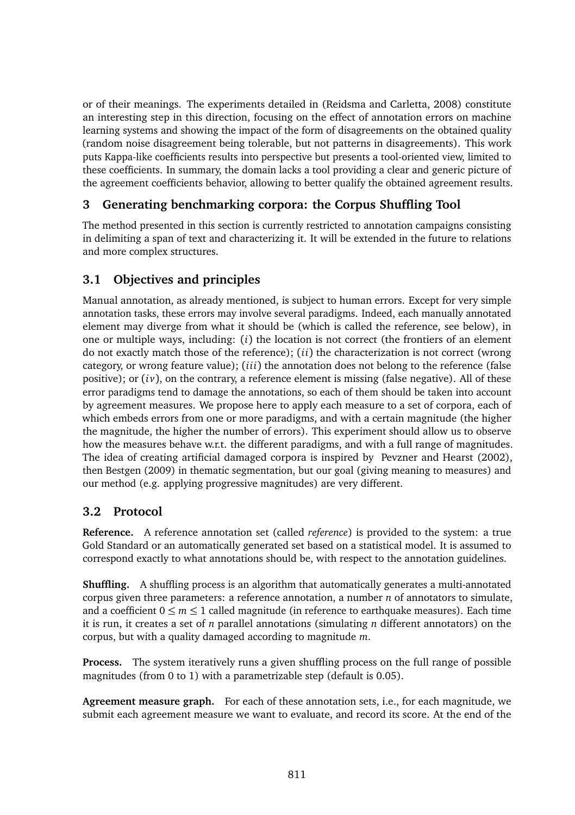or of their meanings. The experiments detailed in (Reidsma and Carletta, 2008) constitute an interesting step in this direction, focusing on the effect of annotation errors on machine learning systems and showing the impact of the form of disagreements on the obtained quality (random noise disagreement being tolerable, but not patterns in disagreements). This work puts Kappa-like coefficients results into perspective but presents a tool-oriented view, limited to these coefficients. In summary, the domain lacks a tool providing a clear and generic picture of the agreement coefficients behavior, allowing to better qualify the obtained agreement results.

# **3 Generating benchmarking corpora: the Corpus Shuffling Tool**

The method presented in this section is currently restricted to annotation campaigns consisting in delimiting a span of text and characterizing it. It will be extended in the future to relations and more complex structures.

# **3.1 Objectives and principles**

Manual annotation, as already mentioned, is subject to human errors. Except for very simple annotation tasks, these errors may involve several paradigms. Indeed, each manually annotated element may diverge from what it should be (which is called the reference, see below), in one or multiple ways, including: (*i*) the location is not correct (the frontiers of an element do not exactly match those of the reference); (*ii*) the characterization is not correct (wrong category, or wrong feature value); (*iii*) the annotation does not belong to the reference (false positive); or  $(iv)$ , on the contrary, a reference element is missing (false negative). All of these error paradigms tend to damage the annotations, so each of them should be taken into account by agreement measures. We propose here to apply each measure to a set of corpora, each of which embeds errors from one or more paradigms, and with a certain magnitude (the higher the magnitude, the higher the number of errors). This experiment should allow us to observe how the measures behave w.r.t. the different paradigms, and with a full range of magnitudes. The idea of creating artificial damaged corpora is inspired by Pevzner and Hearst (2002), then Bestgen (2009) in thematic segmentation, but our goal (giving meaning to measures) and our method (e.g. applying progressive magnitudes) are very different.

# **3.2 Protocol**

**Reference.** A reference annotation set (called *reference*) is provided to the system: a true Gold Standard or an automatically generated set based on a statistical model. It is assumed to correspond exactly to what annotations should be, with respect to the annotation guidelines.

**Shuffling.** A shuffling process is an algorithm that automatically generates a multi-annotated corpus given three parameters: a reference annotation, a number *n* of annotators to simulate, and a coefficient  $0 \le m \le 1$  called magnitude (in reference to earthquake measures). Each time it is run, it creates a set of *n* parallel annotations (simulating *n* different annotators) on the corpus, but with a quality damaged according to magnitude *m*.

**Process.** The system iteratively runs a given shuffling process on the full range of possible magnitudes (from 0 to 1) with a parametrizable step (default is 0.05).

**Agreement measure graph.** For each of these annotation sets, i.e., for each magnitude, we submit each agreement measure we want to evaluate, and record its score. At the end of the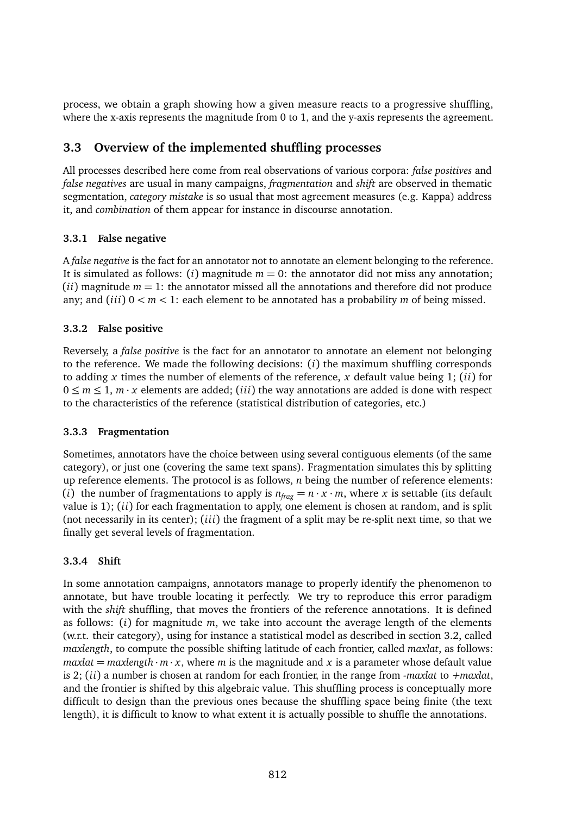process, we obtain a graph showing how a given measure reacts to a progressive shuffling, where the x-axis represents the magnitude from 0 to 1, and the y-axis represents the agreement.

### **3.3 Overview of the implemented shuffling processes**

All processes described here come from real observations of various corpora: *false positives* and *false negatives* are usual in many campaigns, *fragmentation* and *shift* are observed in thematic segmentation, *category mistake* is so usual that most agreement measures (e.g. Kappa) address it, and *combination* of them appear for instance in discourse annotation.

### **3.3.1 False negative**

A *false negative* is the fact for an annotator not to annotate an element belonging to the reference. It is simulated as follows: (*i*) magnitude  $m = 0$ : the annotator did not miss any annotation;  $(i)$  magnitude  $m = 1$ : the annotator missed all the annotations and therefore did not produce any; and (*iii*)  $0 < m < 1$ : each element to be annotated has a probability *m* of being missed.

### **3.3.2 False positive**

Reversely, a *false positive* is the fact for an annotator to annotate an element not belonging to the reference. We made the following decisions: (*i*) the maximum shuffling corresponds to adding *x* times the number of elements of the reference, *x* default value being 1; (*ii*) for  $0 \le m \le 1$ ,  $m \cdot x$  elements are added; (*iii*) the way annotations are added is done with respect to the characteristics of the reference (statistical distribution of categories, etc.)

#### **3.3.3 Fragmentation**

Sometimes, annotators have the choice between using several contiguous elements (of the same category), or just one (covering the same text spans). Fragmentation simulates this by splitting up reference elements. The protocol is as follows, *n* being the number of reference elements: (*i*) the number of fragmentations to apply is  $n_{\text{frac}} = n \cdot x \cdot m$ , where *x* is settable (its default value is 1); (*ii*) for each fragmentation to apply, one element is chosen at random, and is split (not necessarily in its center); (*iii*) the fragment of a split may be re-split next time, so that we finally get several levels of fragmentation.

### **3.3.4 Shift**

In some annotation campaigns, annotators manage to properly identify the phenomenon to annotate, but have trouble locating it perfectly. We try to reproduce this error paradigm with the *shift* shuffling, that moves the frontiers of the reference annotations. It is defined as follows: (*i*) for magnitude *m*, we take into account the average length of the elements (w.r.t. their category), using for instance a statistical model as described in section 3.2, called *maxlength*, to compute the possible shifting latitude of each frontier, called *maxlat*, as follows:  $maxlat = maxlength \cdot m \cdot x$ , where *m* is the magnitude and *x* is a parameter whose default value is 2; (*ii*) a number is chosen at random for each frontier, in the range from *-maxlat* to *+maxlat*, and the frontier is shifted by this algebraic value. This shuffling process is conceptually more difficult to design than the previous ones because the shuffling space being finite (the text length), it is difficult to know to what extent it is actually possible to shuffle the annotations.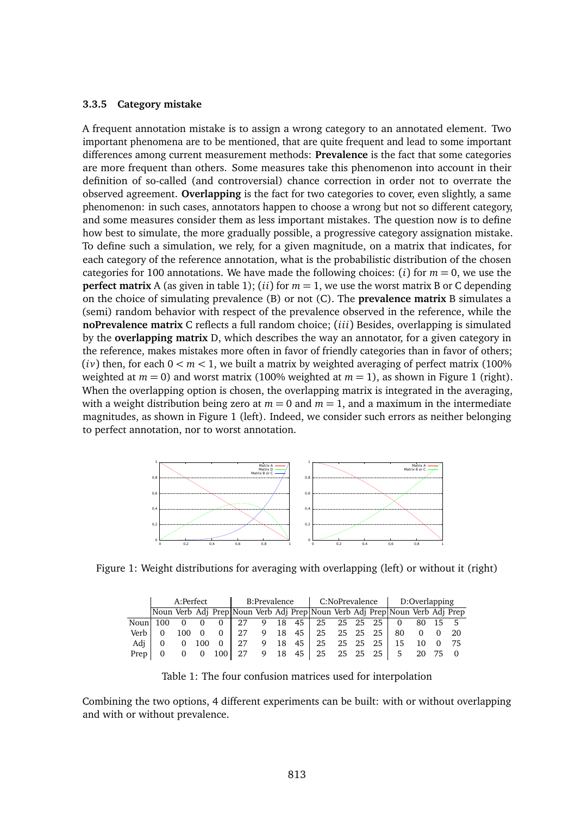#### **3.3.5 Category mistake**

A frequent annotation mistake is to assign a wrong category to an annotated element. Two important phenomena are to be mentioned, that are quite frequent and lead to some important differences among current measurement methods: **Prevalence** is the fact that some categories are more frequent than others. Some measures take this phenomenon into account in their definition of so-called (and controversial) chance correction in order not to overrate the observed agreement. **Overlapping** is the fact for two categories to cover, even slightly, a same phenomenon: in such cases, annotators happen to choose a wrong but not so different category, and some measures consider them as less important mistakes. The question now is to define how best to simulate, the more gradually possible, a progressive category assignation mistake. To define such a simulation, we rely, for a given magnitude, on a matrix that indicates, for each category of the reference annotation, what is the probabilistic distribution of the chosen categories for 100 annotations. We have made the following choices: (*i*) for  $m = 0$ , we use the **perfect matrix** A (as given in table 1); (*ii*) for  $m = 1$ , we use the worst matrix B or C depending on the choice of simulating prevalence (B) or not (C). The **prevalence matrix** B simulates a (semi) random behavior with respect of the prevalence observed in the reference, while the **noPrevalence matrix** C reflects a full random choice; (*iii*) Besides, overlapping is simulated by the **overlapping matrix** D, which describes the way an annotator, for a given category in the reference, makes mistakes more often in favor of friendly categories than in favor of others;  $(iv)$  then, for each  $0 \le m \le 1$ , we built a matrix by weighted averaging of perfect matrix (100%) weighted at  $m = 0$ ) and worst matrix (100% weighted at  $m = 1$ ), as shown in Figure 1 (right). When the overlapping option is chosen, the overlapping matrix is integrated in the averaging, with a weight distribution being zero at  $m = 0$  and  $m = 1$ , and a maximum in the intermediate magnitudes, as shown in Figure 1 (left). Indeed, we consider such errors as neither belonging to perfect annotation, nor to worst annotation.



Figure 1: Weight distributions for averaging with overlapping (left) or without it (right)

|          | A:Perfect |     |          |     | B:Prevalence                                                                |   |    |                 | C:NoPrevalence |  |  |          | D:Overlapping |  |  |     |
|----------|-----------|-----|----------|-----|-----------------------------------------------------------------------------|---|----|-----------------|----------------|--|--|----------|---------------|--|--|-----|
|          |           |     |          |     | Noun Verb Adj Prep Noun Verb Adj Prep Noun Verb Adj Prep Noun Verb Adj Prep |   |    |                 |                |  |  |          |               |  |  |     |
| Noun 100 |           |     |          |     | 27                                                                          | 9 | 18 | 45 <sup>1</sup> | 25             |  |  | 25 25 25 | 0             |  |  |     |
| Verb     |           | 100 | $\Omega$ |     | 27                                                                          | 9 | 18 | 45              | 25             |  |  | 25 25 25 | 80            |  |  | 20  |
| Adi      |           |     | 100      |     | 27                                                                          | 9 | 18 | 45              | 25             |  |  | 25 25 25 | 15            |  |  | -75 |
| Prep     |           |     |          | 100 | 27                                                                          | 9 | 18 | 45              | 25             |  |  | 25 25 25 |               |  |  |     |

Table 1: The four confusion matrices used for interpolation

Combining the two options, 4 different experiments can be built: with or without overlapping and with or without prevalence.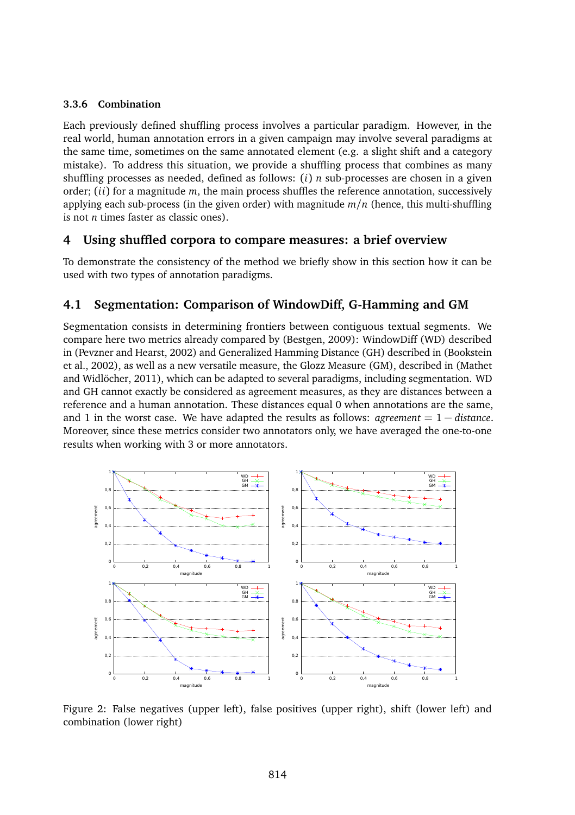#### **3.3.6 Combination**

Each previously defined shuffling process involves a particular paradigm. However, in the real world, human annotation errors in a given campaign may involve several paradigms at the same time, sometimes on the same annotated element (e.g. a slight shift and a category mistake). To address this situation, we provide a shuffling process that combines as many shuffling processes as needed, defined as follows: (*i*) *n* sub-processes are chosen in a given order; (*ii*) for a magnitude *m*, the main process shuffles the reference annotation, successively applying each sub-process (in the given order) with magnitude *m/n* (hence, this multi-shuffling is not *n* times faster as classic ones).

### **4 Using shuffled corpora to compare measures: a brief overview**

To demonstrate the consistency of the method we briefly show in this section how it can be used with two types of annotation paradigms.

### **4.1 Segmentation: Comparison of WindowDiff, G-Hamming and GM**

Segmentation consists in determining frontiers between contiguous textual segments. We compare here two metrics already compared by (Bestgen, 2009): WindowDiff (WD) described in (Pevzner and Hearst, 2002) and Generalized Hamming Distance (GH) described in (Bookstein et al., 2002), as well as a new versatile measure, the Glozz Measure (GM), described in (Mathet and Widlöcher, 2011), which can be adapted to several paradigms, including segmentation. WD and GH cannot exactly be considered as agreement measures, as they are distances between a reference and a human annotation. These distances equal 0 when annotations are the same, and 1 in the worst case. We have adapted the results as follows: *agreement* = 1 − *distance*. Moreover, since these metrics consider two annotators only, we have averaged the one-to-one results when working with 3 or more annotators.



Figure 2: False negatives (upper left), false positives (upper right), shift (lower left) and combination (lower right)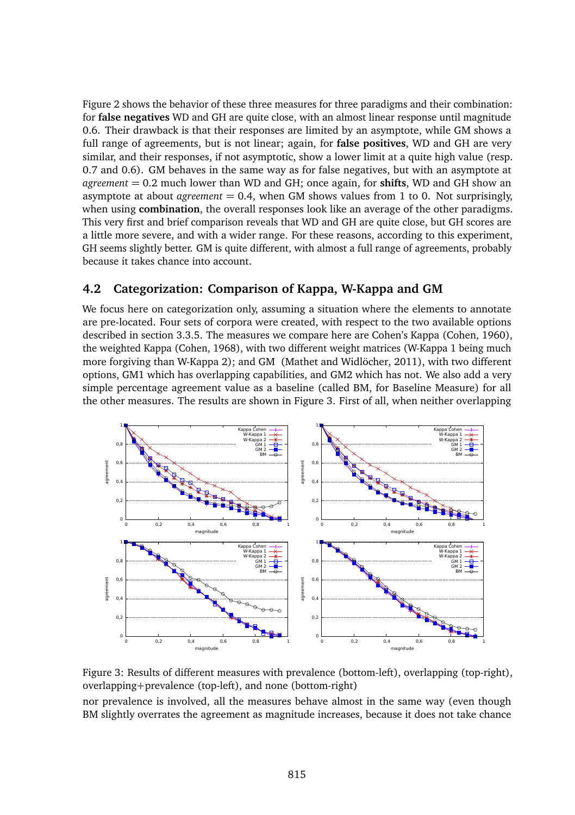Figure 2 shows the behavior of these three measures for three paradigms and their combination: for **false negatives** WD and GH are quite close, with an almost linear response until magnitude 0.6. Their drawback is that their responses are limited by an asymptote, while GM shows a full range of agreements, but is not linear; again, for **false positives**, WD and GH are very similar, and their responses, if not asymptotic, show a lower limit at a quite high value (resp. 0.7 and 0.6). GM behaves in the same way as for false negatives, but with an asymptote at *agreement* = 0.2 much lower than WD and GH; once again, for **shifts**, WD and GH show an asymptote at about *agreement* = 0.4, when GM shows values from 1 to 0. Not surprisingly, when using **combination**, the overall responses look like an average of the other paradigms. This very first and brief comparison reveals that WD and GH are quite close, but GH scores are a little more severe, and with a wider range. For these reasons, according to this experiment, GH seems slightly better. GM is quite different, with almost a full range of agreements, probably because it takes chance into account.

# **4.2 Categorization: Comparison of Kappa, W-Kappa and GM**

We focus here on categorization only, assuming a situation where the elements to annotate are pre-located. Four sets of corpora were created, with respect to the two available options described in section 3.3.5. The measures we compare here are Cohen's Kappa (Cohen, 1960), the weighted Kappa (Cohen, 1968), with two different weight matrices (W-Kappa 1 being much more forgiving than W-Kappa 2); and GM (Mathet and Widlöcher, 2011), with two different options, GM1 which has overlapping capabilities, and GM2 which has not. We also add a very simple percentage agreement value as a baseline (called BM, for Baseline Measure) for all the other measures. The results are shown in Figure 3. First of all, when neither overlapping



Figure 3: Results of different measures with prevalence (bottom-left), overlapping (top-right), overlapping+prevalence (top-left), and none (bottom-right)

nor prevalence is involved, all the measures behave almost in the same way (even though BM slightly overrates the agreement as magnitude increases, because it does not take chance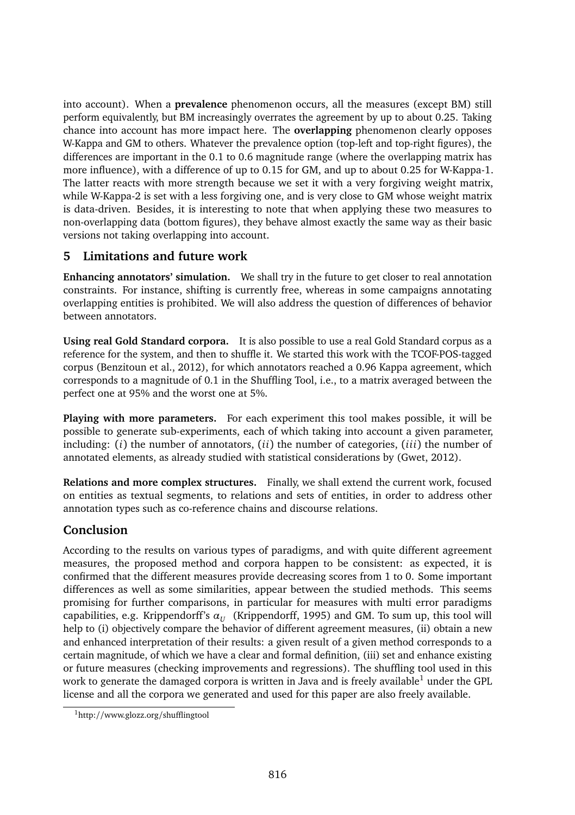into account). When a **prevalence** phenomenon occurs, all the measures (except BM) still perform equivalently, but BM increasingly overrates the agreement by up to about 0.25. Taking chance into account has more impact here. The **overlapping** phenomenon clearly opposes W-Kappa and GM to others. Whatever the prevalence option (top-left and top-right figures), the differences are important in the 0.1 to 0.6 magnitude range (where the overlapping matrix has more influence), with a difference of up to 0.15 for GM, and up to about 0.25 for W-Kappa-1. The latter reacts with more strength because we set it with a very forgiving weight matrix, while W-Kappa-2 is set with a less forgiving one, and is very close to GM whose weight matrix is data-driven. Besides, it is interesting to note that when applying these two measures to non-overlapping data (bottom figures), they behave almost exactly the same way as their basic versions not taking overlapping into account.

# **5 Limitations and future work**

**Enhancing annotators' simulation.** We shall try in the future to get closer to real annotation constraints. For instance, shifting is currently free, whereas in some campaigns annotating overlapping entities is prohibited. We will also address the question of differences of behavior between annotators.

**Using real Gold Standard corpora.** It is also possible to use a real Gold Standard corpus as a reference for the system, and then to shuffle it. We started this work with the TCOF-POS-tagged corpus (Benzitoun et al., 2012), for which annotators reached a 0.96 Kappa agreement, which corresponds to a magnitude of 0.1 in the Shuffling Tool, i.e., to a matrix averaged between the perfect one at 95% and the worst one at 5%.

**Playing with more parameters.** For each experiment this tool makes possible, it will be possible to generate sub-experiments, each of which taking into account a given parameter, including: (*i*) the number of annotators, (*ii*) the number of categories, (*iii*) the number of annotated elements, as already studied with statistical considerations by (Gwet, 2012).

**Relations and more complex structures.** Finally, we shall extend the current work, focused on entities as textual segments, to relations and sets of entities, in order to address other annotation types such as co-reference chains and discourse relations.

# **Conclusion**

According to the results on various types of paradigms, and with quite different agreement measures, the proposed method and corpora happen to be consistent: as expected, it is confirmed that the different measures provide decreasing scores from 1 to 0. Some important differences as well as some similarities, appear between the studied methods. This seems promising for further comparisons, in particular for measures with multi error paradigms capabilities, e.g. Krippendorff's  $\alpha_U$  (Krippendorff, 1995) and GM. To sum up, this tool will help to (i) objectively compare the behavior of different agreement measures, (ii) obtain a new and enhanced interpretation of their results: a given result of a given method corresponds to a certain magnitude, of which we have a clear and formal definition, (iii) set and enhance existing or future measures (checking improvements and regressions). The shuffling tool used in this work to generate the damaged corpora is written in Java and is freely available<sup>1</sup> under the GPL license and all the corpora we generated and used for this paper are also freely available.

<sup>1</sup>http://www.glozz.org/shufflingtool